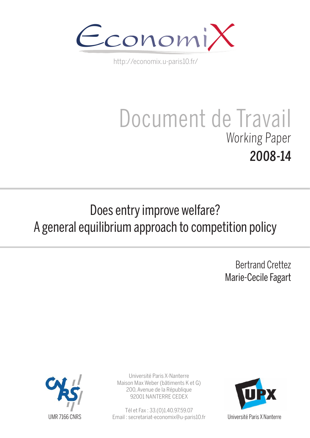

http://economix.u-paris10.fr/

# Document de Travail Working Paper 2008-14

## Does entry improve welfare? A general equilibrium approach to competition policy

Bertrand Crettez Marie-Cecile Fagart



Université Paris X-Nanterre Maison Max Weber (bâtiments K et G) 200, Avenue de la République 92001 NANTERRE CEDEX

Tél et Fax : 33.(0)1.40.97.59.07 Email : secretariat-economix@u-paris10.fr

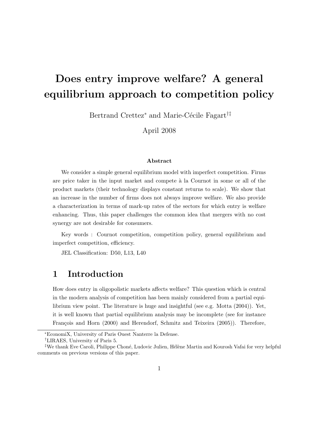## Does entry improve welfare? A general equilibrium approach to competition policy

Bertrand Crettez<sup>\*</sup> and Marie-Cécile Fagart<sup>†‡</sup>

April 2008

#### Abstract

We consider a simple general equilibrium model with imperfect competition. Firms are price taker in the input market and compete à la Cournot in some or all of the product markets (their technology displays constant returns to scale). We show that an increase in the number of firms does not always improve welfare. We also provide a characterization in terms of mark-up rates of the sectors for which entry is welfare enhancing. Thus, this paper challenges the common idea that mergers with no cost synergy are not desirable for consumers.

Key words : Cournot competition, competition policy, general equilibrium and imperfect competition, efficiency.

JEL Classification: D50, L13, L40

## 1 Introduction

How does entry in oligopolistic markets affects welfare? This question which is central in the modern analysis of competition has been mainly considered from a partial equilibrium view point. The literature is huge and insightful (see e.g. Motta (2004)). Yet, it is well known that partial equilibrium analysis may be incomplete (see for instance François and Horn (2000) and Herendorf, Schmitz and Teixeira (2005)). Therefore,

<sup>∗</sup>EconomiX, University of Paris Ouest Nanterre la Defense.

<sup>†</sup>LIRAES, University of Paris 5.

<sup>&</sup>lt;sup>‡</sup>We thank Eve Caroli, Philippe Choné, Ludovic Julien, Hélène Martin and Kourosh Vafai for very helpful comments on previous versions of this paper.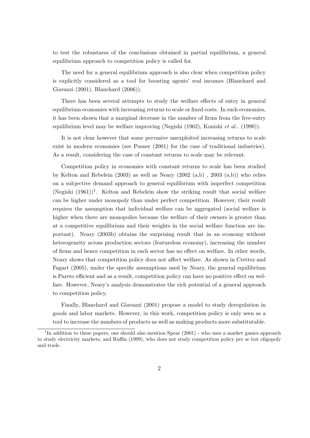to test the robustness of the conclusions obtained in partial equilibrium, a general equilibrium approach to competition policy is called for.

The need for a general equilibrium approach is also clear when competition policy is explicitly considered as a tool for boosting agents' real incomes (Blanchard and Giavazzi (2001), Blanchard (2006)).

There has been several attempts to study the welfare effects of entry in general equilibrium economies with increasing returns to scale or fixed costs. In such economies, it has been shown that a marginal decrease in the number of firms from the free-entry equilibrium level may be welfare improving (Negishi (1962), Konishi et al.. (1990)).

It is not clear however that some pervasive unexploited increasing returns to scale exist in modern economies (see Posner (2001) for the case of traditional industries). As a result, considering the case of constant returns to scale may be relevant.

Competition policy in economies with constant returns to scale has been studied by Kelton and Rebelein (2003) as well as Neary (2002  $(a,b)$ ), 2003  $(a,b)$ ) who relies on a subjective demand approach to general equilibrium with imperfect competition  $(Negishi (1961))$ <sup>1</sup>. Kelton and Rebelein show the striking result that social welfare can be higher under monopoly than under perfect competition. However, their result requires the assumption that individual welfare can be aggregated (social welfare is higher when there are monopolies because the welfare of their owners is greater than at a competitive equilibrium and their weights in the social welfare function are important). Neary (2003b) obtains the surprising result that in an economy without heterogeneity across production sectors (featureless economy), increasing the number of firms and hence competition in each sector has no effect on welfare. In other words, Neary shows that competition policy does not affect welfare. As shown in Crettez and Fagart (2005), under the specific assumptions used by Neary, the general equilibrium is Pareto efficient and as a result, competition policy can have no positive effect on welfare. However, Neary's analysis demonstrates the rich potential of a general approach to competition policy.

Finally, Blanchard and Giavazzi (2001) propose a model to study deregulation in goods and labor markets. However, in this work, competition policy is only seen as a tool to increase the numbers of products as well as making products more substitutable.

<sup>&</sup>lt;sup>1</sup>In addition to these papers, one should also mention Spear (2001) - who uses a market games approach to study electricity markets, and Ruffin (1999), who does not study competition policy per se but oligopoly and trade.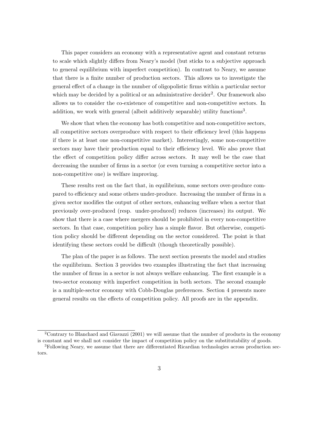This paper considers an economy with a representative agent and constant returns to scale which slightly differs from Neary's model (but sticks to a subjective approach to general equilibrium with imperfect competition). In contrast to Neary, we assume that there is a finite number of production sectors. This allows us to investigate the general effect of a change in the number of oligopolistic firms within a particular sector which may be decided by a political or an administrative decider<sup>2</sup>. Our framework also allows us to consider the co-existence of competitive and non-competitive sectors. In addition, we work with general (albeit additively separable) utility functions<sup>3</sup>.

We show that when the economy has both competitive and non-competitive sectors, all competitive sectors overproduce with respect to their efficiency level (this happens if there is at least one non-competitive market). Interestingly, some non-competitive sectors may have their production equal to their efficiency level. We also prove that the effect of competition policy differ across sectors. It may well be the case that decreasing the number of firms in a sector (or even turning a competitive sector into a non-competitive one) is welfare improving.

These results rest on the fact that, in equilibrium, some sectors over-produce compared to efficiency and some others under-produce. Increasing the number of firms in a given sector modifies the output of other sectors, enhancing welfare when a sector that previously over-produced (resp. under-produced) reduces (increases) its output. We show that there is a case where mergers should be prohibited in every non-competitive sectors. In that case, competition policy has a simple flavor. But otherwise, competition policy should be different depending on the sector considered. The point is that identifying these sectors could be difficult (though theoretically possible).

The plan of the paper is as follows. The next section presents the model and studies the equilibrium. Section 3 provides two examples illustrating the fact that increasing the number of firms in a sector is not always welfare enhancing. The first example is a two-sector economy with imperfect competition in both sectors. The second example is a multiple-sector economy with Cobb-Douglas preferences. Section 4 presents more general results on the effects of competition policy. All proofs are in the appendix.

<sup>2</sup>Contrary to Blanchard and Giavazzi (2001) we will assume that the number of products in the economy is constant and we shall not consider the impact of competition policy on the substitutability of goods.

<sup>3</sup>Following Neary, we assume that there are differentiated Ricardian technologies across production sectors.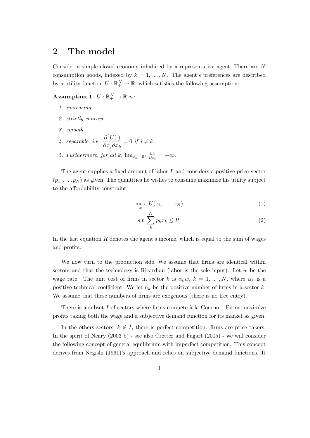## 2 The model

Consider a simple closed economy inhabited by a representative agent. There are N consumption goods, indexed by  $k = 1, ..., N$ . The agent's preferences are described by a utility function  $U: \mathbb{R}^N_+ \to \mathbb{R}$ , which satisfies the following assumption:

## Assumption 1.  $U: \mathbb{R}_+^N \to \mathbb{R}$  is:

- 1. increasing.
- 2. strictly concave.
- 3. smooth.
- 4. separable, i.e.  $\frac{\partial^2 U(.)}{\partial \ \ \ \ \ \ \ \ \ \ \ \ }$  $\frac{\partial}{\partial x_j \partial x_k} = 0$  if  $j \neq k$ .
- 5. Furthermore, for all k,  $\lim_{x_k \to 0^+} \frac{\partial U}{\partial x_k}$  $\frac{\partial U}{\partial x_k} = +\infty.$

The agent supplies a fixed amount of labor L and considers a positive price vector  $(p_1, \ldots, p_N)$  as given. The quantities he wishes to consume maximize his utility subject to the affordability constraint:

$$
\max_{x} U(x_1, \dots, x_N) \tag{1}
$$

$$
s.t \sum_{k}^{N} p_k x_k \le R. \tag{2}
$$

In the last equation  $R$  denotes the agent's income, which is equal to the sum of wages and profits.

We now turn to the production side. We assume that firms are identical within sectors and that the technology is Ricardian (labor is the sole input). Let  $w$  be the wage rate. The unit cost of firms in sector k is  $\alpha_k w$ ,  $k = 1, \ldots, N$ , where  $\alpha_k$  is a positive technical coefficient. We let  $n_k$  be the positive number of firms in a sector k. We assume that these numbers of firms are exogenous (there is no free entry).

There is a subset  $I$  of sectors where firms compete à la Cournot. Firms maximize profits taking both the wage and a subjective demand function for its market as given.

In the others sectors,  $k \notin I$ , there is perfect competition: firms are price takers. In the spirit of Neary (2003 b) - see also Crettez and Fagart (2005) - we will consider the following concept of general equilibrium with imperfect competition. This concept derives from Negishi (1961)'s approach and relies on subjective demand functions. It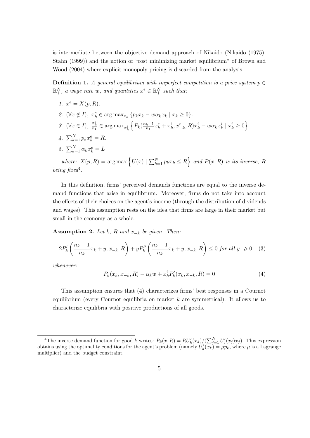is intermediate between the objective demand approach of Nikaido (Nikaido (1975), Stahn (1999)) and the notion of "cost minimizing market equilibrium" of Brown and Wood (2004) where explicit monopoly pricing is discarded from the analysis.

**Definition 1.** A general equilibrium with imperfect competition is a price system  $p \in$  $\mathbb{R}^N_+$ , a wage rate w, and quantities  $x^e \in \mathbb{R}^N_+$  such that:

- 1.  $x^e = X(p, R)$ .
- 2.  $(\forall x \notin I)$ ,  $x_k^e \in \arg \max_{x_k} \{p_k x_k w \alpha_k x_k \mid x_k \geq 0\}.$
- 3.  $(\forall x \in I), \frac{x_k^e}{n_k} \in \arg \max_{x_k^i}$  $\left\{P_k\left(\frac{n_k-1}{n_k}\right)\right\}$  $\frac{k-1}{n_k}x_k^e+x_k^i, x_{-k}^e, R)x_k^i-w\alpha_kx_k^i\mid x_k^i\geq 0\Big\}.$
- 4.  $\sum_{k=1}^{N} p_k x_k^e = R.$
- 5.  $\sum_{k=1}^{N} \alpha_k x_k^e = L$

where:  $X(p, R) = \arg \max \left\{ U(x) \mid \sum_{k=1}^{N} p_k x_k \leq R \right\}$  and  $P(x, R)$  is its inverse, R being fixed<sup>4</sup>.

In this definition, firms' perceived demands functions are equal to the inverse demand functions that arise in equilibrium. Moreover, firms do not take into account the effects of their choices on the agent's income (through the distribution of dividends and wages). This assumption rests on the idea that firms are large in their market but small in the economy as a whole.

Assumption 2. Let k, R and  $x_{-k}$  be given. Then:

$$
2P'_k\left(\frac{n_k - 1}{n_k}x_k + y, x_{-k}, R\right) + yP''_k\left(\frac{n_k - 1}{n_k}x_k + y, x_{-k}, R\right) \le 0 \text{ for all } y \ge 0 \quad (3)
$$

whenever:

$$
P_k(x_k, x_{-k}, R) - \alpha_k w + x_k^i P'_k(x_k, x_{-k}, R) = 0
$$
\n(4)

This assumption ensures that (4) characterizes firms' best responses in a Cournot equilibrium (every Cournot equilibria on market  $k$  are symmetrical). It allows us to characterize equilibria with positive productions of all goods.

<sup>&</sup>lt;sup>4</sup>The inverse demand function for good k writes:  $P_k(x,R) = RU'_k(x_k)/(\sum_{j=1}^N U'_j(x_j)x_j)$ . This expression obtains using the optimality conditions for the agent's problem (namely  $U'_k(x_k) = \mu p_k$ , where  $\mu$  is a Lagrange multiplier) and the budget constraint.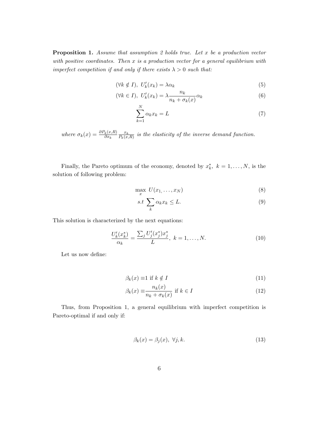**Proposition 1.** Assume that assumption 2 holds true. Let  $x$  be a production vector with positive coordinates. Then  $x$  is a production vector for a general equilibrium with imperfect competition if and only if there exists  $\lambda > 0$  such that:

$$
(\forall k \notin I), \ U'_k(x_k) = \lambda \alpha_k \tag{5}
$$

$$
(\forall k \in I), \ U'_k(x_k) = \lambda \frac{n_k}{n_k + \sigma_k(x)} \alpha_k \tag{6}
$$

$$
\sum_{k=1}^{N} \alpha_k x_k = L \tag{7}
$$

where  $\sigma_k(x) = \frac{\partial P_k(x, R)}{\partial x_k}$  $x_k$  $\frac{x_k}{P_k(x,R)}$  is the elasticity of the inverse demand function.

Finally, the Pareto optimum of the economy, denoted by  $x_k^*$ ,  $k = 1, ..., N$ , is the solution of following problem:

$$
\max_{x} U(x_1, \dots, x_N) \tag{8}
$$

$$
s.t. \sum_{k} \alpha_k x_k \le L. \tag{9}
$$

This solution is characterized by the next equations:

$$
\frac{U'_k(x_k^*)}{\alpha_k} = \frac{\sum_j U'_j(x_j^*) x_j^*}{L}, \ k = 1, \dots, N. \tag{10}
$$

Let us now define:

$$
\beta_k(x) \equiv 1 \text{ if } k \notin I \tag{11}
$$

$$
\beta_k(x) \equiv \frac{n_k(x)}{n_k + \sigma_k(x)} \text{ if } k \in I \tag{12}
$$

Thus, from Proposition 1, a general equilibrium with imperfect competition is Pareto-optimal if and only if:

$$
\beta_k(x) = \beta_j(x), \ \forall j, k. \tag{13}
$$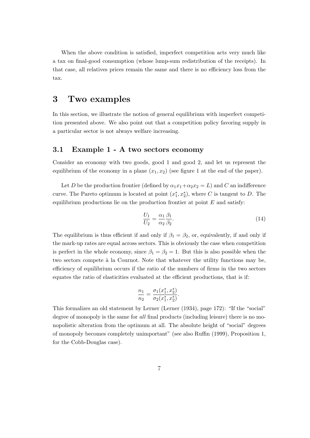When the above condition is satisfied, imperfect competition acts very much like a tax on final-good consumption (whose lump-sum redistribution of the receipts). In that case, all relatives prices remain the same and there is no efficiency loss from the tax.

## 3 Two examples

In this section, we illustrate the notion of general equilibrium with imperfect competition presented above. We also point out that a competition policy favoring supply in a particular sector is not always welfare increasing.

## 3.1 Example 1 - A two sectors economy

Consider an economy with two goods, good 1 and good 2, and let us represent the equilibrium of the economy in a plane  $(x_1, x_2)$  (see figure 1 at the end of the paper).

Let D be the production frontier (defined by  $\alpha_1 x_1 + \alpha_2 x_2 = L$ ) and C an indifference curve. The Pareto optimum is located at point  $(x_1^*, x_2^*)$ , where C is tangent to D. The equilibrium productions lie on the production frontier at point  $E$  and satisfy:

$$
\frac{U_1}{U_2} = \frac{\alpha_1}{\alpha_2} \frac{\beta_1}{\beta_2}.\tag{14}
$$

The equilibrium is thus efficient if and only if  $\beta_1 = \beta_2$ , or, equivalently, if and only if the mark-up rates are equal across sectors. This is obviously the case when competition is perfect in the whole economy, since  $\beta_1 = \beta_2 = 1$ . But this is also possible when the two sectors compete à la Cournot. Note that whatever the utility functions may be, efficiency of equilibrium occurs if the ratio of the numbers of firms in the two sectors equates the ratio of elasticities evaluated at the efficient productions, that is if:

$$
\frac{n_1}{n_2} = \frac{\sigma_1(x_1^*, x_2^*)}{\sigma_2(x_1^*, x_2^*)}.
$$

This formalizes an old statement by Lerner (Lerner (1934), page 172): "If the "social" degree of monopoly is the same for all final products (including leisure) there is no monopolistic alteration from the optimum at all. The absolute height of "social" degrees of monopoly becomes completely unimportant" (see also Ruffin (1999), Proposition 1, for the Cobb-Douglas case).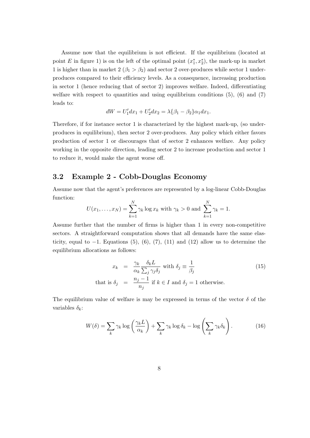Assume now that the equilibrium is not efficient. If the equilibrium (located at point E in figure 1) is on the left of the optimal point  $(x_1^*, x_2^*)$ , the mark-up in market 1 is higher than in market  $2 (\beta_1 > \beta_2)$  and sector 2 over-produces while sector 1 underproduces compared to their efficiency levels. As a consequence, increasing production in sector 1 (hence reducing that of sector 2) improves welfare. Indeed, differentiating welfare with respect to quantities and using equilibrium conditions  $(5)$ ,  $(6)$  and  $(7)$ leads to:

$$
dW = U_1' dx_1 + U_2' dx_2 = \lambda \{\beta_1 - \beta_2\} \alpha_1 dx_1.
$$

Therefore, if for instance sector 1 is characterized by the highest mark-up, (so underproduces in equilibrium), then sector 2 over-produces. Any policy which either favors production of sector 1 or discourages that of sector 2 enhances welfare. Any policy working in the opposite direction, leading sector 2 to increase production and sector 1 to reduce it, would make the agent worse off.

## 3.2 Example 2 - Cobb-Douglas Economy

Assume now that the agent's preferences are represented by a log-linear Cobb-Douglas function:

$$
U(x_1,...,x_N) = \sum_{k=1}^{N} \gamma_k \log x_k
$$
 with  $\gamma_k > 0$  and  $\sum_{k=1}^{N} \gamma_k = 1$ .

Assume further that the number of firms is higher than 1 in every non-competitive sectors. A straightforward computation shows that all demands have the same elasticity, equal to  $-1$ . Equations (5), (6), (7), (11) and (12) allow us to determine the equilibrium allocations as follows:

$$
x_k = \frac{\gamma_k}{\alpha_k} \frac{\delta_k L}{\sum_j \gamma_j \delta_j} \text{ with } \delta_j \equiv \frac{1}{\beta_j}
$$
  
that is  $\delta_j = \frac{n_j - 1}{n_j}$  if  $k \in I$  and  $\delta_j = 1$  otherwise. (15)

The equilibrium value of welfare is may be expressed in terms of the vector  $\delta$  of the variables  $\delta_k$ :

$$
W(\delta) = \sum_{k} \gamma_k \log \left( \frac{\gamma_k L}{\alpha_k} \right) + \sum_{k} \gamma_k \log \delta_k - \log \left( \sum_{k} \gamma_k \delta_k \right). \tag{16}
$$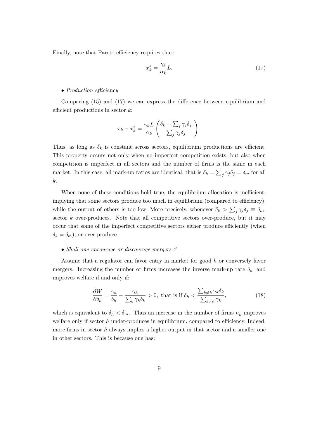Finally, note that Pareto efficiency requires that:

$$
x_k^* = \frac{\gamma_k}{\alpha_k} L. \tag{17}
$$

#### • Production efficiency

Comparing (15) and (17) we can express the difference between equilibrium and efficient productions in sector  $k$ :

$$
x_k - x_k^* = \frac{\gamma_k L}{\alpha_k} \left( \frac{\delta_k - \sum_j \gamma_j \delta_j}{\sum_j \gamma_j \delta_j} \right).
$$

Thus, as long as  $\delta_k$  is constant across sectors, equilibrium productions are efficient. This property occurs not only when no imperfect competition exists, but also when competition is imperfect in all sectors and the number of firms is the same in each market. In this case, all mark-up ratios are identical, that is  $\delta_k = \sum_j \gamma_j \delta_j = \delta_m$  for all k.

When none of these conditions hold true, the equilibrium allocation is inefficient, implying that some sectors produce too much in equilibrium (compared to efficiency), while the output of others is too low. More precisely, whenever  $\delta_k > \sum_j \gamma_j \delta_j \equiv \delta_m$ , sector  $k$  over-produces. Note that all competitive sectors over-produce, but it may occur that some of the imperfect competitive sectors either produce efficiently (when  $\delta_k = \delta_m$ , or over-produce.

#### • Shall one encourage or discourage mergers?

Assume that a regulator can favor entry in market for good h or conversely favor mergers. Increasing the number or firms increases the inverse mark-up rate  $\delta_h$  and improves welfare if and only if:

$$
\frac{\partial W}{\partial \delta_h} = \frac{\gamma_h}{\delta_h} - \frac{\gamma_h}{\sum_k \gamma_k \delta_k} > 0, \text{ that is if } \delta_h < \frac{\sum_{k \neq h} \gamma_k \delta_k}{\sum_{k \neq h} \gamma_k},\tag{18}
$$

which is equivalent to  $\delta_h < \delta_m$ . Thus an increase in the number of firms  $n_h$  improves welfare only if sector  $h$  under-produces in equilibrium, compared to efficiency. Indeed, more firms in sector  $h$  always implies a higher output in that sector and a smaller one in other sectors. This is because one has: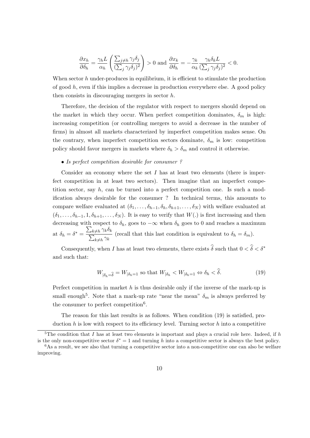$$
\frac{\partial x_h}{\partial \delta_h} = \frac{\gamma_h L}{\alpha_h} \left( \frac{\sum_{j \neq h} \gamma_j \delta_j}{(\sum_j \gamma_j \delta_j)^2} \right) > 0 \text{ and } \frac{\partial x_k}{\partial \delta_h} = -\frac{\gamma_k}{\alpha_k} \frac{\gamma_h \delta_k L}{(\sum_j \gamma_j \delta_j)^2} < 0.
$$

When sector h under-produces in equilibrium, it is efficient to stimulate the production of good  $h$ , even if this implies a decrease in production everywhere else. A good policy then consists in discouraging mergers in sector h.

Therefore, the decision of the regulator with respect to mergers should depend on the market in which they occur. When perfect competition dominates,  $\delta_m$  is high: increasing competition (or controlling mergers to avoid a decrease in the number of firms) in almost all markets characterized by imperfect competition makes sense. On the contrary, when imperfect competition sectors dominate,  $\delta_m$  is low: competition policy should favor mergers in markets where  $\delta_h > \delta_m$  and control it otherwise.

#### • Is perfect competition desirable for consumer?

Consider an economy where the set  $I$  has at least two elements (there is imperfect competition in at least two sectors). Then imagine that an imperfect competition sector, say  $h$ , can be turned into a perfect competition one. Is such a modification always desirable for the consumer ? In technical terms, this amounts to compare welfare evaluated at  $(\delta_1, \ldots, \delta_{h-1}, \delta_h, \delta_{h+1}, \ldots, \delta_N)$  with welfare evaluated at  $(\delta_1,\ldots,\delta_{h-1},1,\delta_{h+1},\ldots,\delta_N)$ . It is easy to verify that  $W(.)$  is first increasing and then decreasing with respect to  $\delta_h$ , goes to  $-\infty$  when  $\delta_h$  goes to 0 and reaches a maximum at  $\delta_h = \delta^* = \frac{\sum_{k \neq h} \gamma_k \delta_k}{\sum_{k \neq h} \gamma_k \delta_k}$  $\frac{\sum_{k\neq h} \hat{\rho}_{k}}{\sum_{k\neq h} \hat{\gamma}_{k}}$  (recall that this last condition is equivalent to  $\delta_h = \delta_m$ ).

Consequently, when I has at least two elements, there exists  $\hat{\delta}$  such that  $0 < \hat{\delta} < \delta^*$ and such that:

$$
W_{|\delta_h = \hat{\delta}} = W_{|\delta_h = 1} \text{ so that } W_{|\delta_h} < W_{|\delta_h = 1} \Leftrightarrow \delta_h < \hat{\delta}. \tag{19}
$$

Perfect competition in market  $h$  is thus desirable only if the inverse of the mark-up is small enough<sup>5</sup>. Note that a mark-up rate "near the mean"  $\delta_m$  is always preferred by the consumer to perfect competition<sup>6</sup>.

The reason for this last results is as follows. When condition (19) is satisfied, production h is low with respect to its efficiency level. Turning sector h into a competitive

<sup>&</sup>lt;sup>5</sup>The condition that I has at least two elements is important and plays a crucial role here. Indeed, if h is the only non-competitive sector  $\delta^* = 1$  and turning h into a competitive sector is always the best policy.  $6$ As a result, we see also that turning a competitive sector into a non-competitive one can also be welfare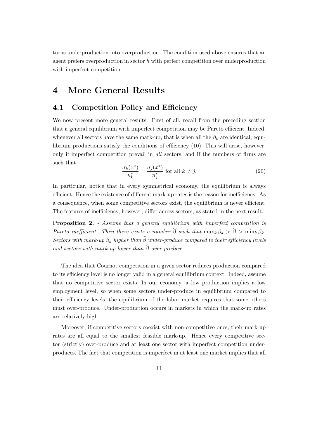turns underproduction into overproduction. The condition used above ensures that an agent prefers overproduction in sector  $h$  with perfect competition over underproduction with imperfect competition.

## 4 More General Results

## 4.1 Competition Policy and Efficiency

We now present more general results. First of all, recall from the preceding section that a general equilibrium with imperfect competition may be Pareto efficient. Indeed, whenever all sectors have the same mark-up, that is when all the  $\beta_k$  are identical, equilibrium productions satisfy the conditions of efficiency (10). This will arise, however, only if imperfect competition prevail in all sectors, and if the numbers of firms are such that

$$
\frac{\sigma_k(x^*)}{n_k^*} = \frac{\sigma_j(x^*)}{n_j^*} \text{ for all } k \neq j.
$$
 (20)

In particular, notice that in every symmetrical economy, the equilibrium is always efficient. Hence the existence of different mark-up rates is the reason for inefficiency. As a consequence, when some competitive sectors exist, the equilibrium is never efficient. The features of inefficiency, however, differ across sectors, as stated in the next result.

**Proposition 2.** - Assume that a general equilibrium with imperfect competition is Pareto inefficient. Then there exists a number  $\widehat{\beta}$  such that  $\max_k \beta_k > \widehat{\beta} > \min_k \beta_k$ . Sectors with mark-up  $\beta_k$  higher than  $\widehat{\beta}$  under-produce compared to their efficiency levels and sectors with mark-up lower than  $\widehat{\beta}$  over-produce.

The idea that Cournot competition in a given sector reduces production compared to its efficiency level is no longer valid in a general equilibrium context. Indeed, assume that no competitive sector exists. In our economy, a low production implies a low employment level, so when some sectors under-produce in equilibrium compared to their efficiency levels, the equilibrium of the labor market requires that some others must over-produce. Under-production occurs in markets in which the mark-up rates are relatively high.

Moreover, if competitive sectors coexist with non-competitive ones, their mark-up rates are all equal to the smallest feasible mark-up. Hence every competitive sector (strictly) over-produce and at least one sector with imperfect competition underproduces. The fact that competition is imperfect in at least one market implies that all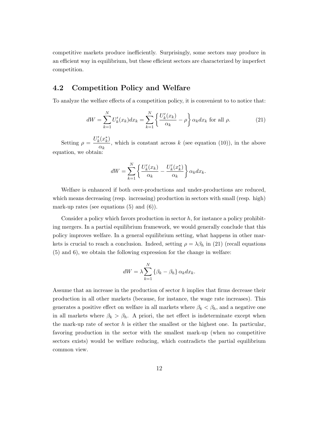competitive markets produce inefficiently. Surprisingly, some sectors may produce in an efficient way in equilibrium, but these efficient sectors are characterized by imperfect competition.

## 4.2 Competition Policy and Welfare

To analyze the welfare effects of a competition policy, it is convenient to to notice that:

$$
dW = \sum_{k=1}^{N} U'_k(x_k) dx_k = \sum_{k=1}^{N} \left\{ \frac{U'_k(x_k)}{\alpha_k} - \rho \right\} \alpha_k dx_k \text{ for all } \rho.
$$
 (21)

Setting  $\rho = \frac{U'_k(x_k^*)}{\rho}$  $\frac{\partial c^{(k)}(k)}{\partial k}$ , which is constant across k (see equation (10)), in the above equation, we obtain:

$$
dW = \sum_{k=1}^{N} \left\{ \frac{U'_k(x_k)}{\alpha_k} - \frac{U'_k(x_k^*)}{\alpha_k} \right\} \alpha_k dx_k.
$$

Welfare is enhanced if both over-productions and under-productions are reduced, which means decreasing (resp. increasing) production in sectors with small (resp. high) mark-up rates (see equations  $(5)$  and  $(6)$ ).

Consider a policy which favors production in sector  $h$ , for instance a policy prohibiting mergers. In a partial equilibrium framework, we would generally conclude that this policy improves welfare. In a general equilibrium setting, what happens in other markets is crucial to reach a conclusion. Indeed, setting  $\rho = \lambda \beta_h$  in (21) (recall equations (5) and 6), we obtain the following expression for the change in welfare:

$$
dW = \lambda \sum_{k=1}^{N} \{ \beta_k - \beta_h \} \, \alpha_k dx_k.
$$

Assume that an increase in the production of sector h implies that firms decrease their production in all other markets (because, for instance, the wage rate increases). This generates a positive effect on welfare in all markets where  $\beta_k < \beta_h$ , and a negative one in all markets where  $\beta_k > \beta_h$ . A priori, the net effect is indeterminate except when the mark-up rate of sector  $h$  is either the smallest or the highest one. In particular, favoring production in the sector with the smallest mark-up (when no competitive sectors exists) would be welfare reducing, which contradicts the partial equilibrium common view.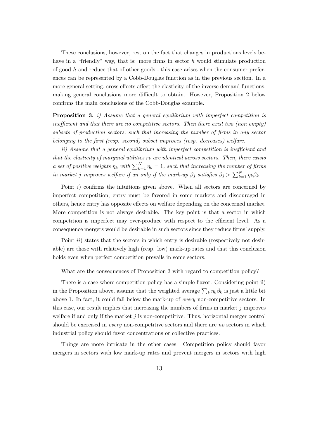These conclusions, however, rest on the fact that changes in productions levels behave in a "friendly" way, that is: more firms in sector  $h$  would stimulate production of good h and reduce that of other goods - this case arises when the consumer preferences can be represented by a Cobb-Douglas function as in the previous section. In a more general setting, cross effects affect the elasticity of the inverse demand functions, making general conclusions more difficult to obtain. However, Proposition 2 below confirms the main conclusions of the Cobb-Douglas example.

**Proposition 3.** i) Assume that a general equilibrium with imperfect competition is inefficient and that there are no competitive sectors. Then there exist two (non empty) subsets of production sectors, such that increasing the number of firms in any sector belonging to the first (resp. second) subset improves (resp. decreases) welfare.

ii) Assume that a general equilibrium with imperfect competition is inefficient and that the elasticity of marginal utilities  $r_k$  are identical across sectors. Then, there exists a set of positive weights  $\eta_k$  with  $\sum_{k=1}^{N} \eta_k = 1$ , such that increasing the number of firms in market j improves welfare if an only if the mark-up  $\beta_j$  satisfies  $\beta_j > \sum_{k=1}^N \eta_k \beta_k$ .

Point i) confirms the intuitions given above. When all sectors are concerned by imperfect competition, entry must be favored in some markets and discouraged in others, hence entry has opposite effects on welfare depending on the concerned market. More competition is not always desirable. The key point is that a sector in which competition is imperfect may over-produce with respect to the efficient level. As a consequence mergers would be desirable in such sectors since they reduce firms' supply.

Point *ii*) states that the sectors in which entry is desirable (respectively not desirable) are those with relatively high (resp. low) mark-up rates and that this conclusion holds even when perfect competition prevails in some sectors.

What are the consequences of Proposition 3 with regard to competition policy?

There is a case where competition policy has a simple flavor. Considering point ii) in the Proposition above, assume that the weighted average  $\sum_{k} \eta_k \beta_k$  is just a little bit above 1. In fact, it could fall below the mark-up of every non-competitive sectors. In this case, our result implies that increasing the numbers of firms in market  $j$  improves welfare if and only if the market  $j$  is non-competitive. Thus, horizontal merger control should be exercised in *every* non-competitive sectors and there are no sectors in which industrial policy should favor concentrations or collective practices.

Things are more intricate in the other cases. Competition policy should favor mergers in sectors with low mark-up rates and prevent mergers in sectors with high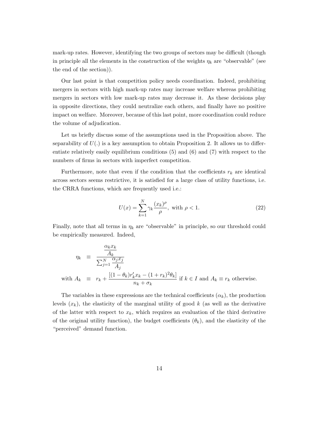mark-up rates. However, identifying the two groups of sectors may be difficult (though in principle all the elements in the construction of the weights  $\eta_k$  are "observable" (see the end of the section)).

Our last point is that competition policy needs coordination. Indeed, prohibiting mergers in sectors with high mark-up rates may increase welfare whereas prohibiting mergers in sectors with low mark-up rates may decrease it. As these decisions play in opposite directions, they could neutralize each others, and finally have no positive impact on welfare. Moreover, because of this last point, more coordination could reduce the volume of adjudication.

Let us briefly discuss some of the assumptions used in the Proposition above. The separability of  $U(.)$  is a key assumption to obtain Proposition 2. It allows us to differentiate relatively easily equilibrium conditions (5) and (6) and (7) with respect to the numbers of firms in sectors with imperfect competition.

Furthermore, note that even if the condition that the coefficients  $r_k$  are identical across sectors seems restrictive, it is satisfied for a large class of utility functions, i.e. the CRRA functions, which are frequently used i.e.:

$$
U(x) = \sum_{k=1}^{N} \gamma_k \frac{(x_k)^{\rho}}{\rho}, \text{ with } \rho < 1.
$$
 (22)

Finally, note that all terms in  $\eta_k$  are "observable" in principle, so our threshold could be empirically measured. Indeed,

$$
\eta_k \equiv \frac{\frac{\alpha_k x_k}{A_k}}{\sum_{j=1}^N \frac{\alpha_j x_j}{A_j}}
$$
  
with  $A_k \equiv r_k + \frac{[(1 - \theta_k)r'_k x_k - (1 + r_k)^2 \theta_k]}{n_k + \sigma_k}$  if  $k \in I$  and  $A_k \equiv r_k$  otherwise.

The variables in these expressions are the technical coefficients  $(\alpha_k)$ , the production levels  $(x_k)$ , the elasticity of the marginal utility of good k (as well as the derivative of the latter with respect to  $x_k$ , which requires an evaluation of the third derivative of the original utility function), the budget coefficients  $(\theta_k)$ , and the elasticity of the "perceived" demand function.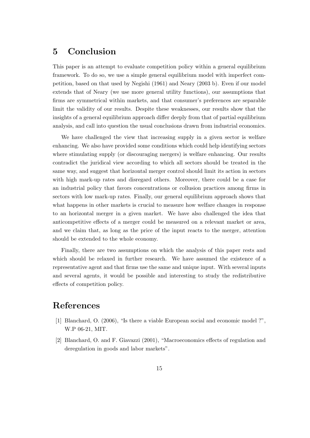## 5 Conclusion

This paper is an attempt to evaluate competition policy within a general equilibrium framework. To do so, we use a simple general equilibrium model with imperfect competition, based on that used by Negishi (1961) and Neary (2003 b). Even if our model extends that of Neary (we use more general utility functions), our assumptions that firms are symmetrical within markets, and that consumer's preferences are separable limit the validity of our results. Despite these weaknesses, our results show that the insights of a general equilibrium approach differ deeply from that of partial equilibrium analysis, and call into question the usual conclusions drawn from industrial economics.

We have challenged the view that increasing supply in a given sector is welfare enhancing. We also have provided some conditions which could help identifying sectors where stimulating supply (or discouraging mergers) is welfare enhancing. Our results contradict the juridical view according to which all sectors should be treated in the same way, and suggest that horizontal merger control should limit its action in sectors with high mark-up rates and disregard others. Moreover, there could be a case for an industrial policy that favors concentrations or collusion practices among firms in sectors with low mark-up rates. Finally, our general equilibrium approach shows that what happens in other markets is crucial to measure how welfare changes in response to an horizontal merger in a given market. We have also challenged the idea that anticompetitive effects of a merger could be measured on a relevant market or area, and we claim that, as long as the price of the input reacts to the merger, attention should be extended to the whole economy.

Finally, there are two assumptions on which the analysis of this paper rests and which should be relaxed in further research. We have assumed the existence of a representative agent and that firms use the same and unique input. With several inputs and several agents, it would be possible and interesting to study the redistributive effects of competition policy.

## References

- [1] Blanchard, O. (2006), "Is there a viable European social and economic model ?", W.P 06-21, MIT.
- [2] Blanchard, O. and F. Giavazzi (2001), "Macroeconomics effects of regulation and deregulation in goods and labor markets".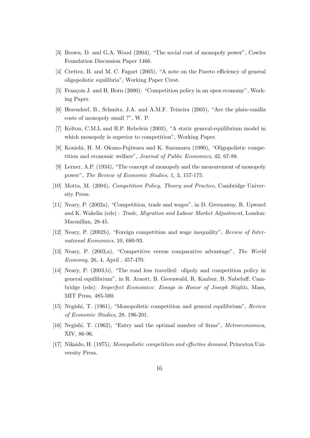- [3] Brown, D. and G.A. Wood (2004), "The social cost of monopoly power", Cowles Foundation Discussion Paper 1466.
- [4] Crettez, B. and M. C. Fagart (2005), "A note on the Pareto efficiency of general oligopolistic equilibria", Working Paper Crest.
- [5] François J. and H. Horn (2000): "Competition policy in an open economy", Working Paper.
- [6] Herendorf, B., Schmitz, J.A. and A.M.F. Teixeira (2005), "Are the plain-vanilla costs of monopoly small ?", W. P.
- [7] Kelton, C.M.L and R.P. Rebelein (2003), "A static general-equilibrium model in which monopoly is superior to competition", Working Paper.
- [8] Konishi, H. M. Okuno-Fujiwara and K. Suzumura (1990), "Oligopolistic competition and economic welfare", Journal of Public Economics, 42, 67-88.
- [9] Lerner, A.P. (1934), "The concept of monopoly and the measurement of monopoly power", The Review of Economic Studies, 1, 3, 157-175.
- [10] Motta, M. (2004), Competition Policy, Theory and Practice, Cambridge University Press.
- [11] Neary, P. (2002a), "Competition, trade and wages", in D. Greenaway, R. Upward and K. Wakelin (eds) : Trade, Migration and Labour Market Adjustment, London: Macmillan, 28-45.
- [12] Neary, P. (2002b), "Foreign competition and wage inequality", Review of International Economics, 10, 680-93.
- [13] Neary, P. (2003,a), "Competitive versus comparative advantage", The World Economy, 26, 4, April , 457-470.
- [14] Neary, P. (2003,b), "The road less travelled: olipoly and competition policy in general equilibrium", in R. Arnott, B. Greenwald, R. Kanbur, B. Nabeluff. Cambridge (eds): Imperfect Economics: Essays in Honor of Joseph Stiglitz, Mass, MIT Press, 485-500.
- [15] Negishi, T. (1961), "Monopolistic competition and general equilibrium", Review of Economic Studies, 28, 196-201.
- [16] Negishi, T. (1962), "Entry and the optimal number of firms", Metroeconomica, XIV, 86-96.
- [17] Nikaido, H. (1975), Monopolistic competition and effective demand, Princeton University Press.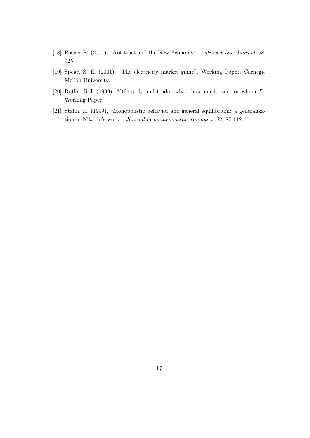- [18] Posner R. (2001), "Antitrust and the New Economy", Antitrust Law Journal, 68, 925.
- [19] Spear, S. E. (2001), "The electricity market game", Working Paper, Carnegie Mellon University.
- [20] Ruffin, R.J. (1999), "Oligopoly and trade: what, how much, and for whom ?", Working Paper.
- [21] Stahn, H. (1999), "Monopolistic behavior and general equilibrium: a generalization of Nikaido's work", Journal of mathematical economics, 32, 87-112.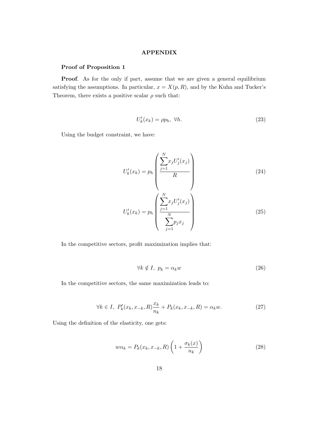#### APPENDIX

### Proof of Proposition 1

Proof. As for the only if part, assume that we are given a general equilibrium satisfying the assumptions. In particular,  $x = X(p, R)$ , and by the Kuhn and Tucker's Theorem, there exists a positive scalar  $\rho$  such that:

$$
U'_{k}(x_{k}) = \rho p_{h}, \ \forall h. \tag{23}
$$

Using the budget constraint, we have:

$$
U'_{k}(x_{k}) = p_{h} \left( \frac{\sum_{j=1}^{N} x_{j} U'_{j}(x_{j})}{R} \right)
$$
\n
$$
U'_{k}(x_{k}) = p_{h} \left( \frac{\sum_{j=1}^{N} x_{j} U'_{j}(x_{j})}{\sum_{j=1}^{N} p_{j} x_{j}} \right)
$$
\n(25)

In the competitive sectors, profit maximization implies that:

$$
\forall k \notin I, \ p_k = \alpha_k w \tag{26}
$$

In the competitive sectors, the same maximization leads to:

$$
\forall k \in I, \ P'_k(x_k, x_{-k}, R) \frac{x_k}{n_k} + P_k(x_k, x_{-k}, R) = \alpha_k w. \tag{27}
$$

Using the definition of the elasticity, one gets:

$$
w\alpha_k = P_k(x_k, x_{-k}, R) \left( 1 + \frac{\sigma_k(x)}{n_k} \right)
$$
\n(28)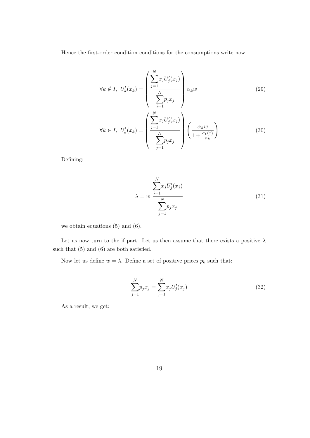Hence the first-order condition conditions for the consumptions write now:

$$
\forall k \notin I, U'_{k}(x_{k}) = \left(\frac{\sum_{j=1}^{N} x_{j} U'_{j}(x_{j})}{\sum_{j=1}^{N} p_{j} x_{j}}\right) \alpha_{k} w
$$
(29)  

$$
\forall k \in I, U'_{k}(x_{k}) = \left(\frac{\sum_{j=1}^{N} x_{j} U'_{j}(x_{j})}{\sum_{j=1}^{N} p_{j} x_{j}}\right) \left(\frac{\alpha_{k} w}{1 + \frac{\sigma_{k}(x)}{n_{k}}}\right)
$$
(30)

Defining:

$$
\lambda = w \frac{\sum_{j=1}^{N} x_j U'_j(x_j)}{\sum_{j=1}^{N} p_j x_j}
$$
\n(31)

we obtain equations (5) and (6).

Let us now turn to the if part. Let us then assume that there exists a positive  $\lambda$ such that (5) and (6) are both satisfied.

Now let us define  $w = \lambda$ . Define a set of positive prices  $p_k$  such that:

$$
\sum_{j=1}^{N} p_j x_j = \sum_{j=1}^{N} x_j U'_j(x_j)
$$
\n(32)

As a result, we get: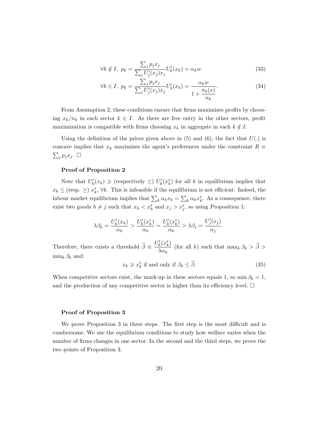$$
\forall k \notin I, \ p_k = \frac{\sum_j p_j x_j}{\sum_j U'_j (x_j) x_j} U'_k (x_k) = \alpha_k w \tag{33}
$$

$$
\forall k \in I, \ p_k = \frac{\sum_j p_j x_j}{\sum_j U'_j (x_j) x_j} U'_k (x_k) = \frac{\alpha_k w}{1 + \frac{\sigma_k(x)}{n_k}}.\tag{34}
$$

From Assumption 2, these conditions ensure that firms maximizes profits by choosing  $x_k/n_k$  in each sector  $k \in I$ . As there are free entry in the other sectors, profit maximization is compatible with firms choosing  $x_k$  in aggregate in each  $k \notin I$ .

Using the definition of the prices given above in  $(5)$  and  $(6)$ , the fact that  $U(.)$  is concave implies that  $x_k$  maximizes the agent's preferences under the constraint  $R \equiv$  $\sum_j p_j x_j$ .

### Proof of Proposition 2

Note that  $U'_k(x_k) \geqslant$  (respectively  $\leqslant$ )  $U'_k(x_k^*)$  for all k in equilibrium implies that  $x_k \leq$  (resp.  $\geq$ )  $x_k^*$ ,  $\forall k$ . This is infeasible if the equilibrium is not efficient. Indeed, the labour market equilibrium implies that  $\sum_k \alpha_k x_k = \sum_k \alpha_k x_k^*$ . As a consequence, there exist two goods  $h \neq j$  such that  $x_h < x_h^*$  and  $x_j > x_j^*$ , so using Proposition 1:

$$
\lambda \beta_h = \frac{U'_h(x_h)}{\alpha_h} > \frac{U'_h(x_h^*)}{\alpha_h} = \frac{U'_k(x_h^*)}{\alpha_k} > \lambda \beta_j = \frac{U'_j(x_j)}{\alpha_j}.
$$

Therefore, there exists a threshold  $\hat{\beta} \equiv \frac{U'_k(x_k^*)}{\lambda \alpha_k}$  $\frac{k^{(k)}(k)}{\lambda \alpha_k}$  (for all k) such that  $\max_k \beta_k > \beta >$  $\min_k \beta_k$  and:

$$
x_k \geqslant x_k^* \text{ if and only if } \beta_k \leq \widehat{\beta}. \tag{35}
$$

When competitive sectors exist, the mark-up in these sectors equals 1, so min  $\beta_k = 1$ , and the production of any competitive sector is higher than its efficiency level.  $\Box$ 

#### Proof of Proposition 3

We prove Proposition 3 in three steps. The first step is the most difficult and is cumbersome. We use the equilibrium conditions to study how welfare varies when the number of firms changes in one sector. In the second and the third steps, we prove the two points of Proposition 3.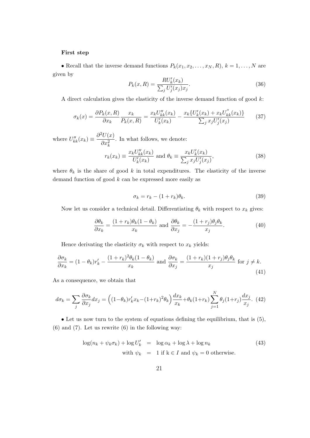#### First step

• Recall that the inverse demand functions  $P_k(x_1, x_2, \ldots, x_N, R)$ ,  $k = 1, \ldots, N$  are given by

$$
P_k(x,R) = \frac{R U'_k(x_k)}{\sum_j U'_j(x_j)x_j}.
$$
\n(36)

A direct calculation gives the elasticity of the inverse demand function of good  $k$ :

$$
\sigma_k(x) = \frac{\partial P_k(x, R)}{\partial x_k} \frac{x_k}{P_k(x, R)} = \frac{x_k U_{kk}''(x_k)}{U_k'(x_k)} - \frac{x_k \{U_k'(x_k) + x_k U_{kk}''(x_k)\}}{\sum_j x_j U_j'(x_j)} \tag{37}
$$

where  $U''_{kk}(x_k) \equiv \frac{\partial^2 U(x)}{\partial x^2}$  $\partial x_k^2$ . In what follows, we denote:

$$
r_k(x_k) \equiv \frac{x_k U_{kk}''(x_k)}{U_k'(x_k)} \text{ and } \theta_k \equiv \frac{x_k U_k'(x_k)}{\sum_j x_j U_j'(x_j)},\tag{38}
$$

where  $\theta_k$  is the share of good k in total expenditures. The elasticity of the inverse demand function of good  $k$  can be expressed more easily as

$$
\sigma_k = r_k - (1 + r_k)\theta_k. \tag{39}
$$

Now let us consider a technical detail. Differentiating  $\theta_k$  with respect to  $x_k$  gives:

$$
\frac{\partial \theta_k}{\partial x_k} = \frac{(1+r_k)\theta_k(1-\theta_k)}{x_k} \text{ and } \frac{\partial \theta_k}{\partial x_j} = -\frac{(1+r_j)\theta_j\theta_k}{x_j}.
$$
 (40)

Hence derivating the elasticity  $\sigma_k$  with respect to  $x_k$  yields:

$$
\frac{\partial \sigma_k}{\partial x_k} = (1 - \theta_k) r'_k - \frac{(1 + r_k)^2 \theta_k (1 - \theta_k)}{x_k} \text{ and } \frac{\partial \sigma_k}{\partial x_j} = \frac{(1 + r_k)(1 + r_j) \theta_j \theta_k}{x_j} \text{ for } j \neq k. \tag{41}
$$

As a consequence, we obtain that

$$
d\sigma_k = \sum_j \frac{\partial \sigma_k}{\partial x_j} dx_j = \left( (1 - \theta_k) r'_k x_k - (1 + r_k)^2 \theta_k \right) \frac{dx_k}{x_k} + \theta_k (1 + r_k) \sum_{j=1}^N \theta_j (1 + r_j) \frac{dx_j}{x_j}.
$$
 (42)

• Let us now turn to the system of equations defining the equilibrium, that is (5), (6) and (7). Let us rewrite (6) in the following way:

$$
\log(n_k + \psi_k \sigma_k) + \log U'_k = \log \alpha_k + \log \lambda + \log n_k
$$
\n
$$
\text{with } \psi_k = 1 \text{ if } k \in I \text{ and } \psi_k = 0 \text{ otherwise.}
$$
\n(43)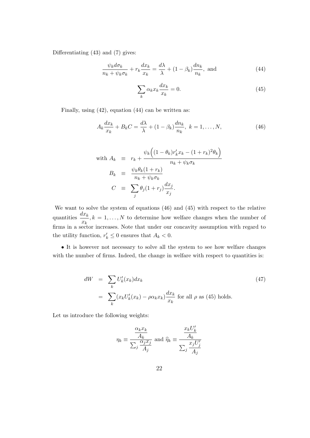Differentiating (43) and (7) gives:

$$
\frac{\psi_k d\sigma_k}{n_k + \psi_k \sigma_k} + r_k \frac{dx_k}{x_k} = \frac{d\lambda}{\lambda} + (1 - \beta_k) \frac{dn_k}{n_k}, \text{ and}
$$
\n(44)

$$
\sum_{k} \alpha_k x_k \frac{dx_k}{x_k} = 0.
$$
\n(45)

Finally, using (42), equation (44) can be written as:

$$
A_k \frac{dx_k}{x_k} + B_k C = \frac{d\lambda}{\lambda} + (1 - \beta_k) \frac{dn_k}{n_k}, \ k = 1, \dots, N,
$$
\n<sup>(46)</sup>

with 
$$
A_k \equiv r_k + \frac{\psi_k \left( (1 - \theta_k) r'_k x_k - (1 + r_k)^2 \theta_k \right)}{n_k + \psi_k \sigma_k}
$$
  
\n
$$
B_k \equiv \frac{\psi_k \theta_k (1 + r_k)}{n_k + \psi_k \sigma_k}
$$
\n
$$
C \equiv \sum_j \theta_j (1 + r_j) \frac{dx_j}{x_j}.
$$

We want to solve the system of equations (46) and (45) with respect to the relative quantities  $\frac{dx_k}{dx_k}$  $\frac{x}{x_k}$ ,  $k = 1, ..., N$  to determine how welfare changes when the number of firms in a sector increases. Note that under our concavity assumption with regard to the utility function,  $r'_{k} \leq 0$  ensures that  $A_{k} < 0$ .

• It is however not necessary to solve all the system to see how welfare changes with the number of firms. Indeed, the change in welfare with respect to quantities is:

$$
dW = \sum_{k} U'_{k}(x_{k}) dx_{k}
$$
  
= 
$$
\sum_{k} (x_{k}U'_{k}(x_{k}) - \rho \alpha_{k} x_{k}) \frac{dx_{k}}{x_{k}}
$$
 for all  $\rho$  as (45) holds. (47)

Let us introduce the following weights:

$$
\eta_k \equiv \frac{\frac{\alpha_k x_k}{A_k}}{\sum_j \frac{\alpha_j x_j}{A_j}} \text{ and } \widehat{\eta}_k \equiv \frac{\frac{x_k U'_k}{A_k}}{\sum_j \frac{x_j U'_j}{A_j}}
$$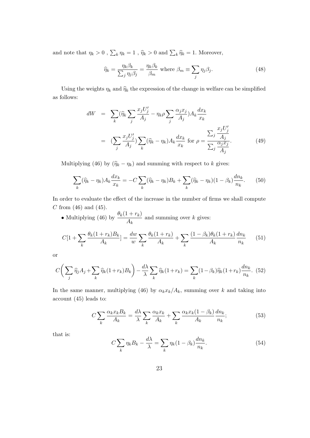and note that  $\eta_k > 0$ ,  $\sum_k \eta_k = 1$ ,  $\hat{\eta}_k > 0$  and  $\sum_k \hat{\eta}_k = 1$ . Moreover,

$$
\widehat{\eta}_k = \frac{\eta_k \beta_k}{\sum_j \eta_j \beta_j} = \frac{\eta_k \beta_k}{\beta_m} \text{ where } \beta_m \equiv \sum_j \eta_j \beta_j. \tag{48}
$$

Using the weights  $\eta_k$  and  $\hat{\eta}_k$  the expression of the change in welfare can be simplified as follows:

$$
dW = \sum_{k} (\widehat{\eta}_{k} \sum_{j} \frac{x_{j} U_{j}'}{A_{j}} - \eta_{k} \rho \sum_{j} \frac{\alpha_{j} x_{j}}{A_{j}}) A_{k} \frac{dx_{k}}{x_{k}}
$$
  

$$
= (\sum_{j} \frac{x_{j} U_{j}'}{A_{j}}) \sum_{k} (\widehat{\eta}_{k} - \eta_{k}) A_{k} \frac{dx_{k}}{x_{k}} \text{ for } \rho = \frac{\sum_{j} \frac{x_{j} U_{j}'}{A_{j}}}{\sum_{j} \frac{\alpha_{j} x_{j}}{A_{j}}}.
$$
(49)

Multiplying (46) by  $(\hat{\eta}_k - \eta_k)$  and summing with respect to k gives:

$$
\sum_{k} (\widehat{\eta}_k - \eta_k) A_k \frac{dx_k}{x_k} = -C \sum_{k} (\widehat{\eta}_k - \eta_k) B_k + \sum_{k} (\widehat{\eta}_k - \eta_k) (1 - \beta_k) \frac{dn_k}{n_k}.
$$
 (50)

In order to evaluate the effect of the increase in the number of firms we shall compute  $C$  from (46) and (45).

• Multiplying (46) by  $\frac{\theta_k(1+r_k)}{4}$  $\frac{A_k}{A_k}$  and summing over k gives:

$$
C[1 + \sum_{k} \frac{\theta_k (1 + r_k) B_k}{A_k}] = \frac{dw}{w} \sum_{k} \frac{\theta_k (1 + r_k)}{A_k} + \sum_{k} \frac{(1 - \beta_k) \theta_k (1 + r_k)}{A_k} \frac{dn_k}{n_k} \tag{51}
$$

or

$$
C\bigg(\sum_{j} \widehat{\eta}_{j} A_{j} + \sum_{k} \widehat{\eta}_{k} (1 + r_{k}) B_{k}\bigg) - \frac{d\lambda}{\lambda} \sum_{k} \widehat{\eta}_{k} (1 + r_{k}) = \sum_{k} (1 - \beta_{k}) \widehat{\eta}_{k} (1 + r_{k}) \frac{dn_{k}}{n_{k}}. (52)
$$

In the same manner, multiplying (46) by  $\alpha_k x_k/A_k$ , summing over k and taking into account (45) leads to:

$$
C\sum_{k} \frac{\alpha_{k} x_{k} B_{k}}{A_{k}} = \frac{d\lambda}{\lambda} \sum_{k} \frac{\alpha_{k} x_{k}}{A_{k}} + \sum_{k} \frac{\alpha_{k} x_{k} (1 - \beta_{k})}{A_{k}} \frac{d n_{k}}{n_{k}};
$$
\n(53)

that is:

$$
C\sum_{k}\eta_{k}B_{k} - \frac{d\lambda}{\lambda} = \sum_{k}\eta_{k}(1-\beta_{k})\frac{dn_{k}}{n_{k}}.\tag{54}
$$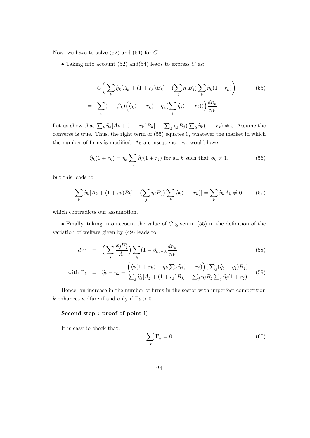Now, we have to solve  $(52)$  and  $(54)$  for C.

• Taking into account  $(52)$  and $(54)$  leads to express C as:

$$
C\bigg(\sum_{k} \widehat{\eta}_{k}[A_{k} + (1+r_{k})B_{k}] - (\sum_{j} \eta_{j}B_{j})\sum_{k} \widehat{\eta}_{k}(1+r_{k})\bigg) \qquad (55)
$$

$$
= \sum_{k} (1-\beta_{k})\bigg(\widehat{\eta}_{k}(1+r_{k}) - \eta_{k}(\sum_{j} \widehat{\eta}_{j}(1+r_{j}))\bigg)\frac{dn_{k}}{n_{k}}.
$$

Let us show that  $\sum_k \widehat{\eta}_k [A_k + (1 + r_k)B_k] - (\sum_j \eta_j B_j) \sum_k \widehat{\eta}_k (1 + r_k) \neq 0$ . Assume the converse is true. Thus, the right term of (55) equates 0, whatever the market in which the number of firms is modified. As a consequence, we would have

$$
\widehat{\eta}_k(1+r_k) = \eta_k \sum_j \widehat{\eta}_j(1+r_j) \text{ for all } k \text{ such that } \beta_k \neq 1,
$$
\n(56)

but this leads to

$$
\sum_{k} \hat{\eta}_{k} [A_{k} + (1 + r_{k})B_{k}] - (\sum_{j} \eta_{j} B_{j}) [\sum_{k} \hat{\eta}_{k} (1 + r_{k})] = \sum_{k} \hat{\eta}_{k} A_{k} \neq 0. \tag{57}
$$

which contradicts our assumption.

• Finally, taking into account the value of  $C$  given in (55) in the definition of the variation of welfare given by (49) leads to:

$$
dW = \left(\sum_{j} \frac{x_j U_j'}{A_j}\right) \sum_{k} (1 - \beta_k) \Gamma_k \frac{dn_k}{n_k} \tag{58}
$$

with 
$$
\Gamma_k = \hat{\eta}_k - \eta_k - \frac{\left(\hat{\eta}_k(1+r_k) - \eta_k \sum_j \hat{\eta}_j(1+r_j)\right) \left(\sum_j (\hat{\eta}_j - \eta_j) B_j\right)}{\sum_j \hat{\eta}_j [A_j + (1+r_j) B_j] - \sum_j \eta_j B_j \sum_j \hat{\eta}_j (1+r_j)}.
$$
 (59)

Hence, an increase in the number of firms in the sector with imperfect competition k enhances welfare if and only if  $\Gamma_k > 0$ .

#### Second step : proof of point i)

It is easy to check that:

$$
\sum_{k} \Gamma_k = 0 \tag{60}
$$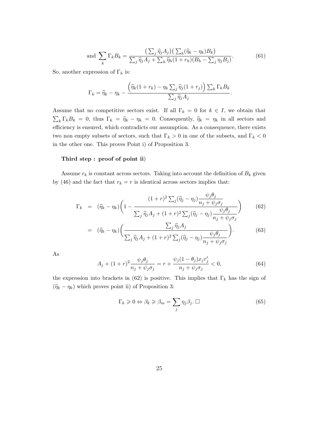and 
$$
\sum_{k} \Gamma_k B_k = \frac{\left(\sum_{j} \widehat{\eta}_j A_j\right) \left(\sum_{k} (\widehat{\eta}_k - \eta_k) B_k\right)}{\sum_{j} \widehat{\eta}_j A_j + \sum_{h} \widehat{\eta}_h (1 + r_h) (B_h - \sum_{j} \eta_j B_j)}.
$$
(61)

So, another expression of  $\Gamma_k$  is:

$$
\Gamma_k = \widehat{\eta}_k - \eta_k - \frac{\left(\widehat{\eta}_k(1+r_k) - \eta_k \sum_j \widehat{\eta}_j(1+r_j)\right) \sum_k \Gamma_k B_k}{\sum_j \widehat{\eta}_j A_j}.
$$

Assume that no competitive sectors exist. If all  $\Gamma_k = 0$  for  $k \in I$ , we obtain that  $\sum_{k} \Gamma_{k} B_{k} = 0$ , thus  $\Gamma_{k} = \hat{\eta}_{k} - \eta_{k} = 0$ . Consequently,  $\hat{\eta}_{k} = \eta_{k}$  in all sectors and efficiency is ensured, which contradicts our assumption. As a consequence, there exists two non empty subsets of sectors, such that  $\Gamma_k > 0$  in one of the subsets, and  $\Gamma_k < 0$ in the other one. This proves Point i) of Proposition 3.

#### Third step : proof of point ii)

Assume  $r_k$  is constant across sectors. Taking into account the definition of  $B_k$  given by (46) and the fact that  $r_k = r$  is identical across sectors implies that:

$$
\Gamma_k = (\widehat{\eta}_k - \eta_k) \left( 1 - \frac{(1+r)^2 \sum_j (\widehat{\eta}_j - \eta_j) \frac{\psi_j \theta_j}{n_j + \psi_j \sigma_j}}{\sum_j \widehat{\eta}_j A_j + (1+r)^2 \sum_j (\widehat{\eta}_j - \eta_j) \frac{\psi_j \theta_j}{n_j + \psi_j \sigma_j}} \right) \tag{62}
$$

$$
= (\widehat{\eta}_k - \eta_k) \bigg( \frac{\sum_j \widehat{\eta}_j A_j}{\sum_j \widehat{\eta}_j A_j + (1+r)^2 \sum_j (\widehat{\eta}_j - \eta_j) \frac{\psi_j \theta_j}{n_j + \psi_j \sigma_j}} \bigg). \tag{63}
$$

As

$$
A_j + (1+r)^2 \frac{\psi_j \theta_j}{n_j + \psi_j \sigma_j} = r + \frac{\psi_j (1-\theta_j) x_j r'_j}{n_j + \psi_j \sigma_j} < 0,\tag{64}
$$

the expression into brackets in (62) is positive. This implies that  $\Gamma_k$  has the sign of  $(\hat{\eta}_k - \eta_k)$  which proves point ii) of Proposition 3:

$$
\Gamma_k \geqslant 0 \Leftrightarrow \beta_k \geqslant \beta_m = \sum_j \eta_j \beta_j. \ \Box \tag{65}
$$